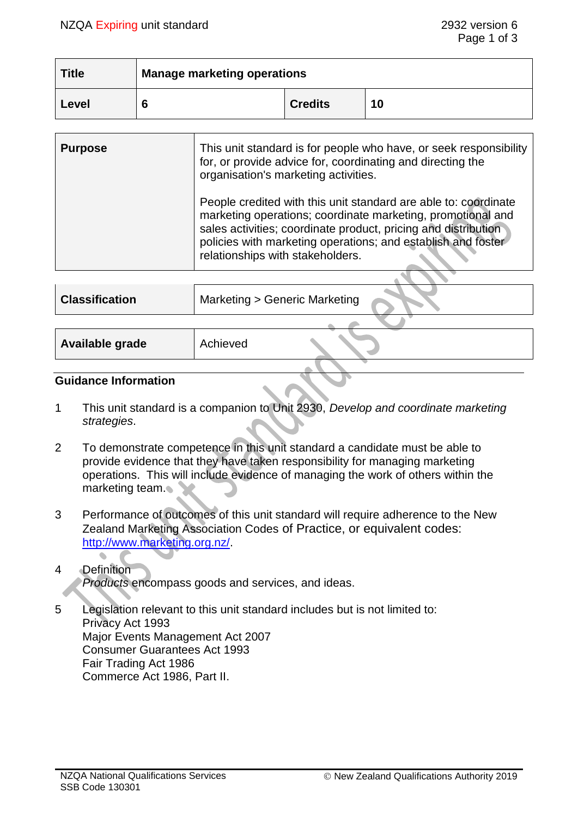| <b>Title</b> | <b>Manage marketing operations</b> |                |    |
|--------------|------------------------------------|----------------|----|
| Level        |                                    | <b>Credits</b> | 10 |

| <b>Purpose</b> | This unit standard is for people who have, or seek responsibility<br>for, or provide advice for, coordinating and directing the<br>organisation's marketing activities.                                                                                                                              |
|----------------|------------------------------------------------------------------------------------------------------------------------------------------------------------------------------------------------------------------------------------------------------------------------------------------------------|
|                | People credited with this unit standard are able to: coordinate<br>marketing operations; coordinate marketing, promotional and<br>sales activities; coordinate product, pricing and distribution<br>policies with marketing operations; and establish and foster<br>relationships with stakeholders. |
|                |                                                                                                                                                                                                                                                                                                      |

| <b>Classification</b> | Marketing > Generic Marketing |
|-----------------------|-------------------------------|
|                       |                               |
| Available grade       | Achieved                      |

#### **Guidance Information**

- 1 This unit standard is a companion to Unit 2930, *Develop and coordinate marketing strategies*.
- 2 To demonstrate competence in this unit standard a candidate must be able to provide evidence that they have taken responsibility for managing marketing operations. This will include evidence of managing the work of others within the marketing team.
- 3 Performance of outcomes of this unit standard will require adherence to the New Zealand Marketing Association Codes of Practice, or equivalent codes: [http://www.marketing.org.nz/.](http://www.marketing.org.nz/)

# 4 Definition *Products* encompass goods and services, and ideas.

5 Legislation relevant to this unit standard includes but is not limited to: Privacy Act 1993 Major Events Management Act 2007 Consumer Guarantees Act 1993 Fair Trading Act 1986 Commerce Act 1986, Part II.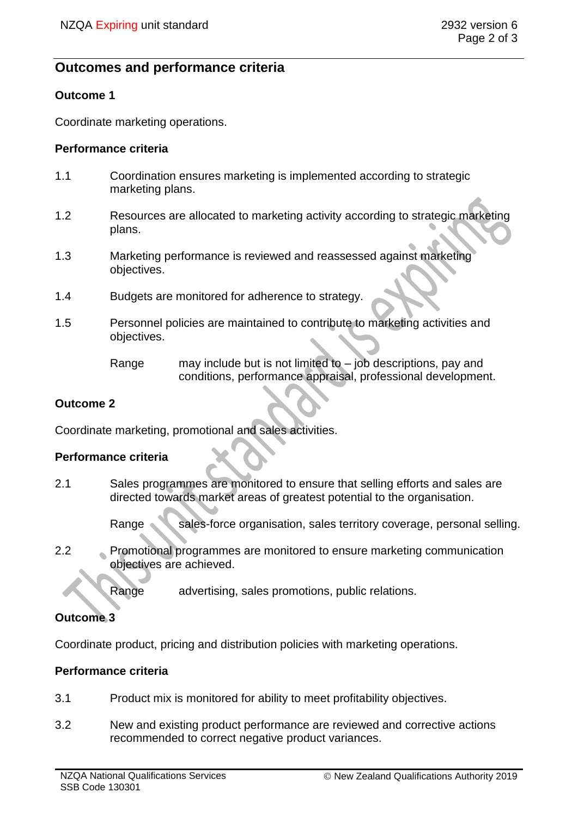# **Outcomes and performance criteria**

#### **Outcome 1**

Coordinate marketing operations.

#### **Performance criteria**

- 1.1 Coordination ensures marketing is implemented according to strategic marketing plans.
- 1.2 Resources are allocated to marketing activity according to strategic marketing plans.
- 1.3 Marketing performance is reviewed and reassessed against marketing objectives.
- 1.4 Budgets are monitored for adherence to strategy.
- 1.5 Personnel policies are maintained to contribute to marketing activities and objectives.
	- Range may include but is not limited to job descriptions, pay and conditions, performance appraisal, professional development.

#### **Outcome 2**

Coordinate marketing, promotional and sales activities.

## **Performance criteria**

- 2.1 Sales programmes are monitored to ensure that selling efforts and sales are directed towards market areas of greatest potential to the organisation.
	- Range sales-force organisation, sales territory coverage, personal selling.
- 2.2 Promotional programmes are monitored to ensure marketing communication objectives are achieved.

Range advertising, sales promotions, public relations.

## **Outcome 3**

Coordinate product, pricing and distribution policies with marketing operations.

#### **Performance criteria**

- 3.1 Product mix is monitored for ability to meet profitability objectives.
- 3.2 New and existing product performance are reviewed and corrective actions recommended to correct negative product variances.